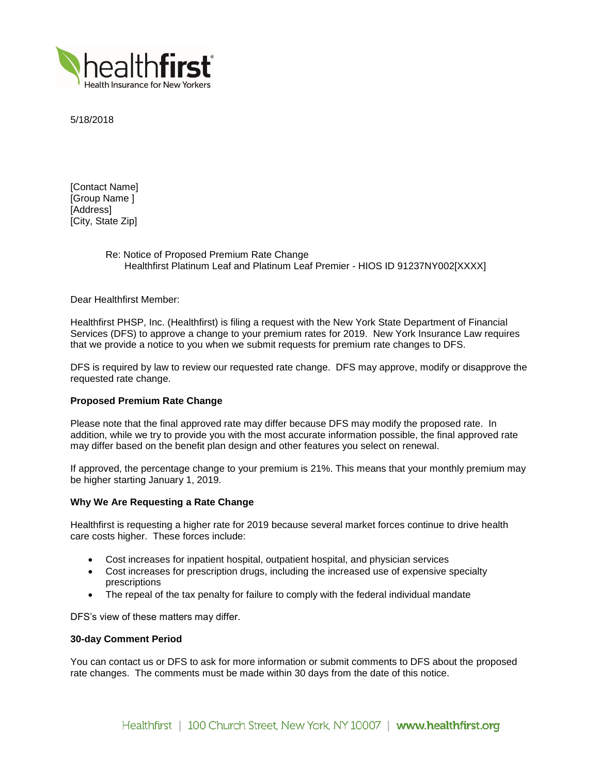

5/18/2018

[Contact Name] [Group Name ] [Address] [City, State Zip]

> Re: Notice of Proposed Premium Rate Change Healthfirst Platinum Leaf and Platinum Leaf Premier - HIOS ID 91237NY002[XXXX]

Dear Healthfirst Member:

Healthfirst PHSP, Inc. (Healthfirst) is filing a request with the New York State Department of Financial Services (DFS) to approve a change to your premium rates for 2019. New York Insurance Law requires that we provide a notice to you when we submit requests for premium rate changes to DFS.

DFS is required by law to review our requested rate change. DFS may approve, modify or disapprove the requested rate change.

# **Proposed Premium Rate Change**

Please note that the final approved rate may differ because DFS may modify the proposed rate. In addition, while we try to provide you with the most accurate information possible, the final approved rate may differ based on the benefit plan design and other features you select on renewal.

If approved, the percentage change to your premium is 21%. This means that your monthly premium may be higher starting January 1, 2019.

## **Why We Are Requesting a Rate Change**

Healthfirst is requesting a higher rate for 2019 because several market forces continue to drive health care costs higher. These forces include:

- Cost increases for inpatient hospital, outpatient hospital, and physician services
- Cost increases for prescription drugs, including the increased use of expensive specialty prescriptions
- The repeal of the tax penalty for failure to comply with the federal individual mandate

DFS's view of these matters may differ.

## **30-day Comment Period**

You can contact us or DFS to ask for more information or submit comments to DFS about the proposed rate changes. The comments must be made within 30 days from the date of this notice.